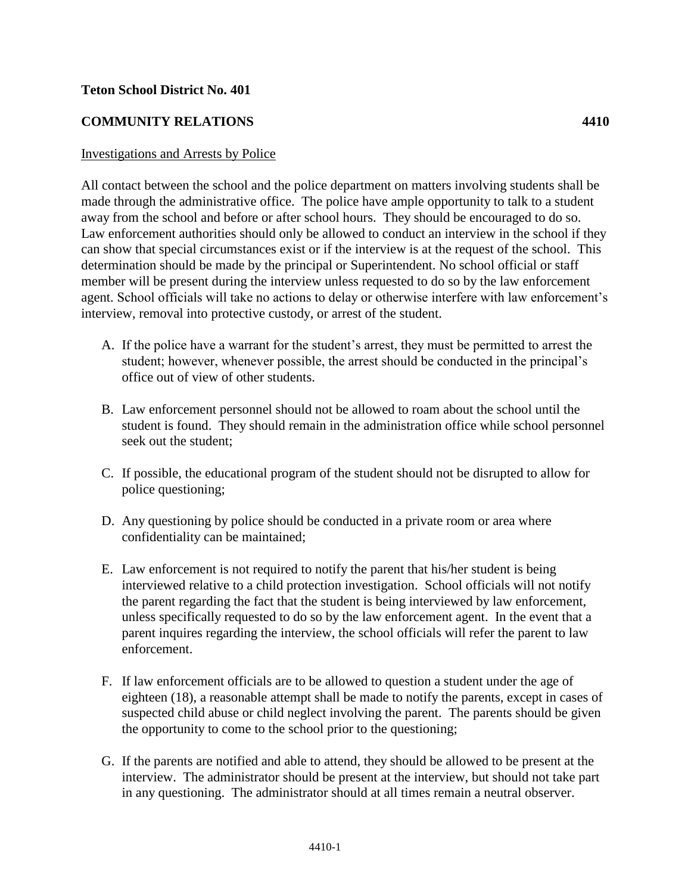## **Teton School District No. 401**

## **COMMUNITY RELATIONS 4410**

## Investigations and Arrests by Police

All contact between the school and the police department on matters involving students shall be made through the administrative office. The police have ample opportunity to talk to a student away from the school and before or after school hours. They should be encouraged to do so. Law enforcement authorities should only be allowed to conduct an interview in the school if they can show that special circumstances exist or if the interview is at the request of the school. This determination should be made by the principal or Superintendent. No school official or staff member will be present during the interview unless requested to do so by the law enforcement agent. School officials will take no actions to delay or otherwise interfere with law enforcement's interview, removal into protective custody, or arrest of the student.

- A. If the police have a warrant for the student's arrest, they must be permitted to arrest the student; however, whenever possible, the arrest should be conducted in the principal's office out of view of other students.
- B. Law enforcement personnel should not be allowed to roam about the school until the student is found. They should remain in the administration office while school personnel seek out the student;
- C. If possible, the educational program of the student should not be disrupted to allow for police questioning;
- D. Any questioning by police should be conducted in a private room or area where confidentiality can be maintained;
- E. Law enforcement is not required to notify the parent that his/her student is being interviewed relative to a child protection investigation. School officials will not notify the parent regarding the fact that the student is being interviewed by law enforcement, unless specifically requested to do so by the law enforcement agent. In the event that a parent inquires regarding the interview, the school officials will refer the parent to law enforcement.
- F. If law enforcement officials are to be allowed to question a student under the age of eighteen (18), a reasonable attempt shall be made to notify the parents, except in cases of suspected child abuse or child neglect involving the parent. The parents should be given the opportunity to come to the school prior to the questioning;
- G. If the parents are notified and able to attend, they should be allowed to be present at the interview. The administrator should be present at the interview, but should not take part in any questioning. The administrator should at all times remain a neutral observer.